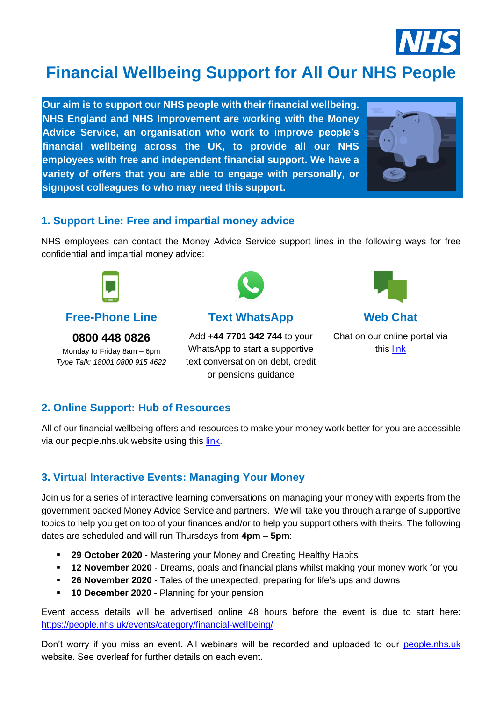

# **Financial Wellbeing Support for All Our NHS People**

**Our aim is to support our NHS people with their financial wellbeing. NHS England and NHS Improvement are working with the Money Advice Service, an organisation who work to improve people's financial wellbeing across the UK, to provide all our NHS employees with free and independent financial support. We have a variety of offers that you are able to engage with personally, or signpost colleagues to who may need this support.**



## **1. Support Line: Free and impartial money advice**

NHS employees can contact the Money Advice Service support lines in the following ways for free confidential and impartial money advice:



## **2. Online Support: Hub of Resources**

All of our financial wellbeing offers and resources to make your money work better for you are accessible via our people.nhs.uk website using this [link.](https://people.nhs.uk/guides/financial-wellbeing/steps/financial-wellbeing-resources/)

# **3. Virtual Interactive Events: Managing Your Money**

Join us for a series of interactive learning conversations on managing your money with experts from the government backed Money Advice Service and partners. We will take you through a range of supportive topics to help you get on top of your finances and/or to help you support others with theirs. The following dates are scheduled and will run Thursdays from **4pm – 5pm**:

- 29 October 2020 Mastering your Money and Creating Healthy Habits
- **. 12 November 2020** Dreams, goals and financial plans whilst making your money work for you
- **26 November 2020** Tales of the unexpected, preparing for life's ups and downs
- **<sup>■</sup> 10 December 2020** Planning for your pension

Event access details will be advertised online 48 hours before the event is due to start here: <https://people.nhs.uk/events/category/financial-wellbeing/>

Don't worry if you miss an event. All webinars will be recorded and uploaded to our [people.nhs.uk](https://people.nhs.uk/guides/financial-wellbeing/steps/financial-wellbeing-resources/) website. See overleaf for further details on each event.